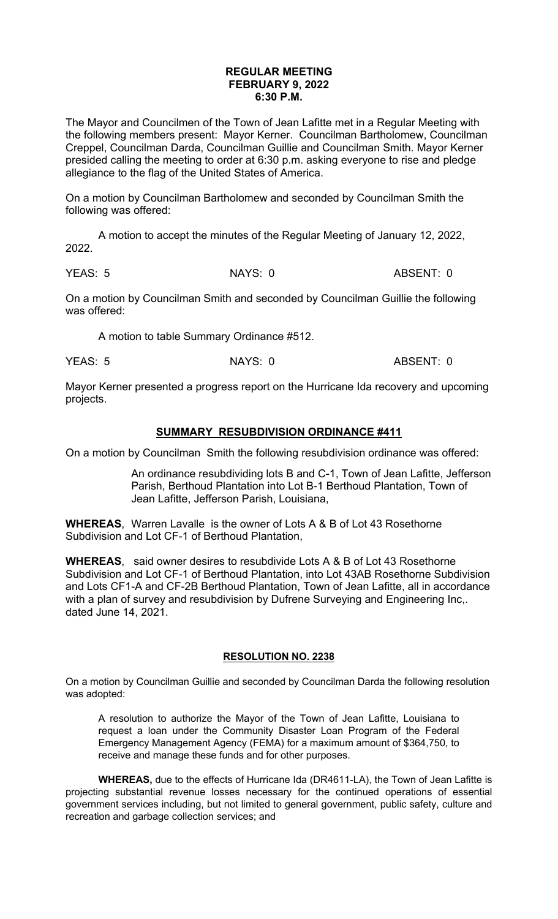## **REGULAR MEETING FEBRUARY 9, 2022 6:30 P.M.**

The Mayor and Councilmen of the Town of Jean Lafitte met in a Regular Meeting with the following members present: Mayor Kerner. Councilman Bartholomew, Councilman Creppel, Councilman Darda, Councilman Guillie and Councilman Smith. Mayor Kerner presided calling the meeting to order at 6:30 p.m. asking everyone to rise and pledge allegiance to the flag of the United States of America.

On a motion by Councilman Bartholomew and seconded by Councilman Smith the following was offered:

A motion to accept the minutes of the Regular Meeting of January 12, 2022, 2022.

YEAS: 5 NAYS: 0 ABSENT: 0

On a motion by Councilman Smith and seconded by Councilman Guillie the following was offered:

A motion to table Summary Ordinance #512.

YEAS: 5 NAYS: 0 ABSENT: 0

Mayor Kerner presented a progress report on the Hurricane Ida recovery and upcoming projects.

## **SUMMARY RESUBDIVISION ORDINANCE #411**

On a motion by Councilman Smith the following resubdivision ordinance was offered:

An ordinance resubdividing lots B and C-1, Town of Jean Lafitte, Jefferson Parish, Berthoud Plantation into Lot B-1 Berthoud Plantation, Town of Jean Lafitte, Jefferson Parish, Louisiana,

**WHEREAS**, Warren Lavalle is the owner of Lots A & B of Lot 43 Rosethorne Subdivision and Lot CF-1 of Berthoud Plantation,

**WHEREAS**, said owner desires to resubdivide Lots A & B of Lot 43 Rosethorne Subdivision and Lot CF-1 of Berthoud Plantation, into Lot 43AB Rosethorne Subdivision and Lots CF1-A and CF-2B Berthoud Plantation, Town of Jean Lafitte, all in accordance with a plan of survey and resubdivision by Dufrene Surveying and Engineering Inc,. dated June 14, 2021.

## **RESOLUTION NO. 2238**

On a motion by Councilman Guillie and seconded by Councilman Darda the following resolution was adopted:

A resolution to authorize the Mayor of the Town of Jean Lafitte, Louisiana to request a loan under the Community Disaster Loan Program of the Federal Emergency Management Agency (FEMA) for a maximum amount of \$364,750, to receive and manage these funds and for other purposes.

**WHEREAS,** due to the effects of Hurricane Ida (DR4611-LA), the Town of Jean Lafitte is projecting substantial revenue losses necessary for the continued operations of essential government services including, but not limited to general government, public safety, culture and recreation and garbage collection services; and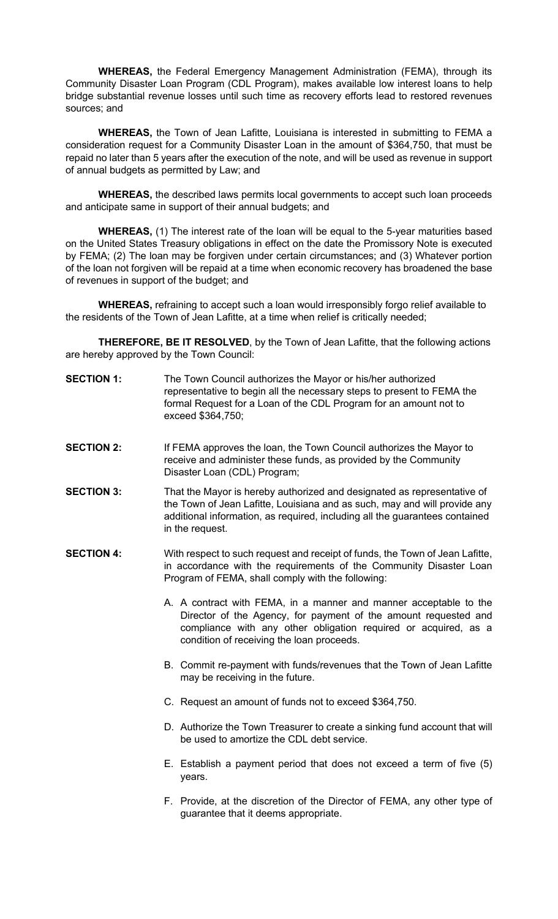**WHEREAS,** the Federal Emergency Management Administration (FEMA), through its Community Disaster Loan Program (CDL Program), makes available low interest loans to help bridge substantial revenue losses until such time as recovery efforts lead to restored revenues sources; and

**WHEREAS,** the Town of Jean Lafitte, Louisiana is interested in submitting to FEMA a consideration request for a Community Disaster Loan in the amount of \$364,750, that must be repaid no later than 5 years after the execution of the note, and will be used as revenue in support of annual budgets as permitted by Law; and

**WHEREAS,** the described laws permits local governments to accept such loan proceeds and anticipate same in support of their annual budgets; and

**WHEREAS,** (1) The interest rate of the loan will be equal to the 5-year maturities based on the United States Treasury obligations in effect on the date the Promissory Note is executed by FEMA; (2) The loan may be forgiven under certain circumstances; and (3) Whatever portion of the loan not forgiven will be repaid at a time when economic recovery has broadened the base of revenues in support of the budget; and

**WHEREAS,** refraining to accept such a loan would irresponsibly forgo relief available to the residents of the Town of Jean Lafitte, at a time when relief is critically needed;

**THEREFORE, BE IT RESOLVED**, by the Town of Jean Lafitte, that the following actions are hereby approved by the Town Council:

| <b>SECTION 1:</b> | The Town Council authorizes the Mayor or his/her authorized            |
|-------------------|------------------------------------------------------------------------|
|                   | representative to begin all the necessary steps to present to FEMA the |
|                   | formal Request for a Loan of the CDL Program for an amount not to      |
|                   | exceed \$364,750;                                                      |

- **SECTION 2:** If FEMA approves the loan, the Town Council authorizes the Mayor to receive and administer these funds, as provided by the Community Disaster Loan (CDL) Program;
- **SECTION 3:** That the Mayor is hereby authorized and designated as representative of the Town of Jean Lafitte, Louisiana and as such, may and will provide any additional information, as required, including all the guarantees contained in the request.
- **SECTION 4:** With respect to such request and receipt of funds, the Town of Jean Lafitte, in accordance with the requirements of the Community Disaster Loan Program of FEMA, shall comply with the following:
	- A. A contract with FEMA, in a manner and manner acceptable to the Director of the Agency, for payment of the amount requested and compliance with any other obligation required or acquired, as a condition of receiving the loan proceeds.
	- B. Commit re-payment with funds/revenues that the Town of Jean Lafitte may be receiving in the future.
	- C. Request an amount of funds not to exceed \$364,750.
	- D. Authorize the Town Treasurer to create a sinking fund account that will be used to amortize the CDL debt service.
	- E. Establish a payment period that does not exceed a term of five (5) years.
	- F. Provide, at the discretion of the Director of FEMA, any other type of guarantee that it deems appropriate.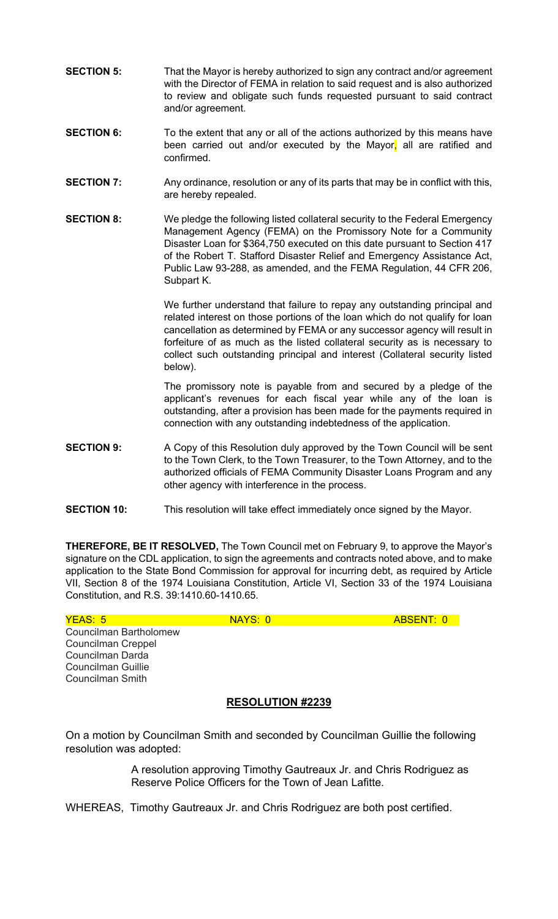- **SECTION 5:** That the Mayor is hereby authorized to sign any contract and/or agreement with the Director of FEMA in relation to said request and is also authorized to review and obligate such funds requested pursuant to said contract and/or agreement.
- **SECTION 6:** To the extent that any or all of the actions authorized by this means have been carried out and/or executed by the Mayor, all are ratified and confirmed.
- **SECTION 7:** Any ordinance, resolution or any of its parts that may be in conflict with this, are hereby repealed.
- **SECTION 8:** We pledge the following listed collateral security to the Federal Emergency Management Agency (FEMA) on the Promissory Note for a Community Disaster Loan for \$364,750 executed on this date pursuant to Section 417 of the Robert T. Stafford Disaster Relief and Emergency Assistance Act, Public Law 93-288, as amended, and the FEMA Regulation, 44 CFR 206, Subpart K.

We further understand that failure to repay any outstanding principal and related interest on those portions of the loan which do not qualify for loan cancellation as determined by FEMA or any successor agency will result in forfeiture of as much as the listed collateral security as is necessary to collect such outstanding principal and interest (Collateral security listed below).

The promissory note is payable from and secured by a pledge of the applicant's revenues for each fiscal year while any of the loan is outstanding, after a provision has been made for the payments required in connection with any outstanding indebtedness of the application.

- **SECTION 9:** A Copy of this Resolution duly approved by the Town Council will be sent to the Town Clerk, to the Town Treasurer, to the Town Attorney, and to the authorized officials of FEMA Community Disaster Loans Program and any other agency with interference in the process.
- **SECTION 10:** This resolution will take effect immediately once signed by the Mayor.

**THEREFORE, BE IT RESOLVED,** The Town Council met on February 9, to approve the Mayor's signature on the CDL application, to sign the agreements and contracts noted above, and to make application to the State Bond Commission for approval for incurring debt, as required by Article VII, Section 8 of the 1974 Louisiana Constitution, Article VI, Section 33 of the 1974 Louisiana Constitution, and R.S. 39:1410.60-1410.65.

| YEAS: 5                | NAYS: 0 | ABSENT: 0 |
|------------------------|---------|-----------|
| Councilman Bartholomew |         |           |
| Councilman Creppel     |         |           |
| Councilman Darda       |         |           |
| Councilman Guillie     |         |           |
| Councilman Smith       |         |           |
|                        |         |           |
|                        |         |           |

## **RESOLUTION #2239**

On a motion by Councilman Smith and seconded by Councilman Guillie the following resolution was adopted:

> A resolution approving Timothy Gautreaux Jr. and Chris Rodriguez as Reserve Police Officers for the Town of Jean Lafitte.

WHEREAS, Timothy Gautreaux Jr. and Chris Rodriguez are both post certified.